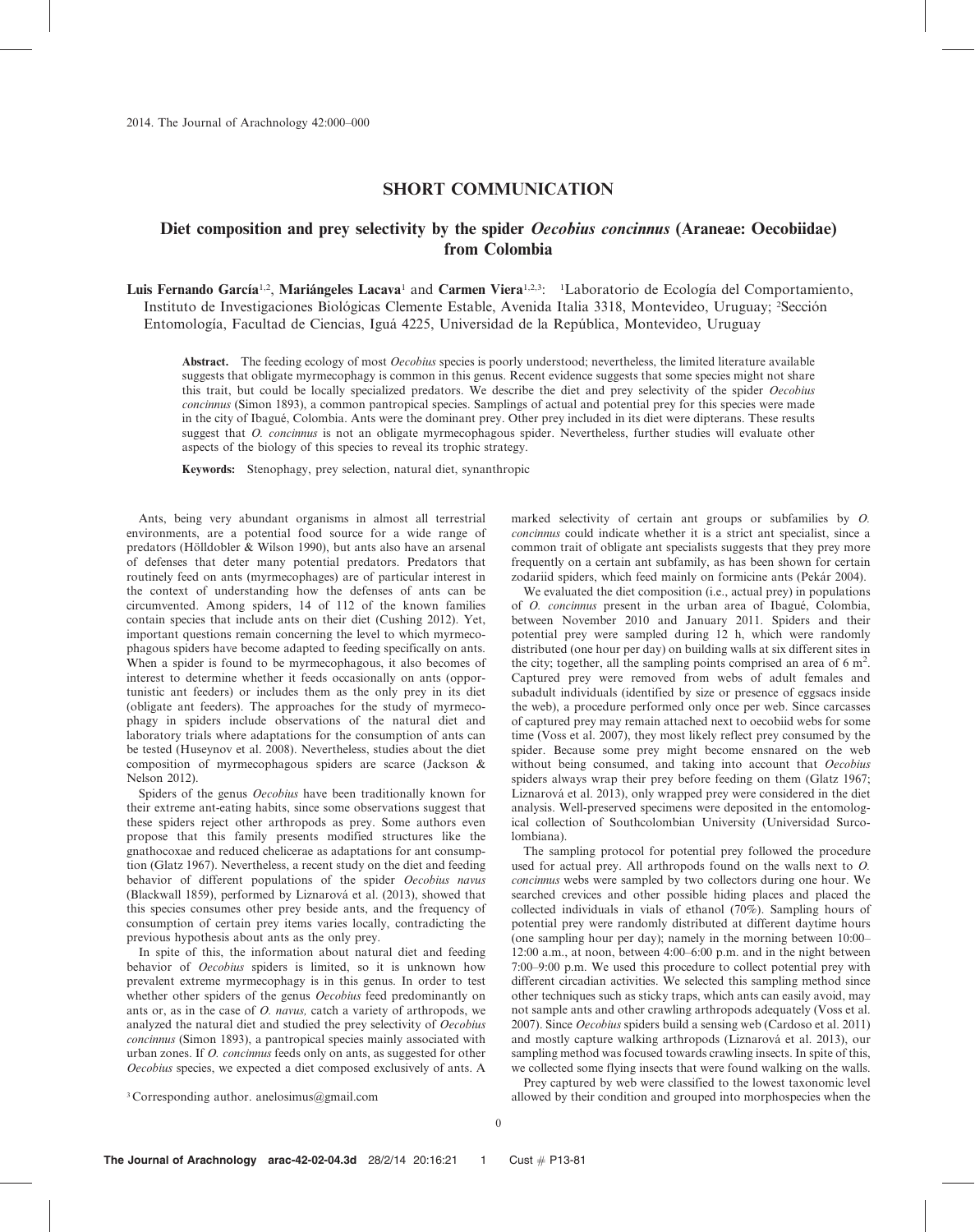## SHORT COMMUNICATION

# Diet composition and prey selectivity by the spider *Oecobius concinnus* (Araneae: Oecobiidae) from Colombia

Luis Fernando García<sup>1,2</sup>, Mariángeles Lacava<sup>1</sup> and Carmen Viera<sup>1,2,3</sup>: <sup>1</sup>Laboratorio de Ecología del Comportamiento, Instituto de Investigaciones Biológicas Clemente Estable, Avenida Italia 3318, Montevideo, Uruguay; <sup>2</sup>Sección Entomología, Facultad de Ciencias, Iguá 4225, Universidad de la República, Montevideo, Uruguay

Abstract. The feeding ecology of most *Oecobius* species is poorly understood; nevertheless, the limited literature available suggests that obligate myrmecophagy is common in this genus. Recent evidence suggests that some species might not share this trait, but could be locally specialized predators. We describe the diet and prey selectivity of the spider Oecobius concinnus (Simon 1893), a common pantropical species. Samplings of actual and potential prey for this species were made in the city of Ibagué, Colombia. Ants were the dominant prey. Other prey included in its diet were dipterans. These results suggest that O. concinnus is not an obligate myrmecophagous spider. Nevertheless, further studies will evaluate other aspects of the biology of this species to reveal its trophic strategy.

Keywords: Stenophagy, prey selection, natural diet, synanthropic

Ants, being very abundant organisms in almost all terrestrial environments, are a potential food source for a wide range of predators (Hölldobler & Wilson 1990), but ants also have an arsenal of defenses that deter many potential predators. Predators that routinely feed on ants (myrmecophages) are of particular interest in the context of understanding how the defenses of ants can be circumvented. Among spiders, 14 of 112 of the known families contain species that include ants on their diet (Cushing 2012). Yet, important questions remain concerning the level to which myrmecophagous spiders have become adapted to feeding specifically on ants. When a spider is found to be myrmecophagous, it also becomes of interest to determine whether it feeds occasionally on ants (opportunistic ant feeders) or includes them as the only prey in its diet (obligate ant feeders). The approaches for the study of myrmecophagy in spiders include observations of the natural diet and laboratory trials where adaptations for the consumption of ants can be tested (Huseynov et al. 2008). Nevertheless, studies about the diet composition of myrmecophagous spiders are scarce (Jackson & Nelson 2012).

Spiders of the genus Oecobius have been traditionally known for their extreme ant-eating habits, since some observations suggest that these spiders reject other arthropods as prey. Some authors even propose that this family presents modified structures like the gnathocoxae and reduced chelicerae as adaptations for ant consumption (Glatz 1967). Nevertheless, a recent study on the diet and feeding behavior of different populations of the spider Oecobius navus (Blackwall 1859), performed by Liznarová et al. (2013), showed that this species consumes other prey beside ants, and the frequency of consumption of certain prey items varies locally, contradicting the previous hypothesis about ants as the only prey.

In spite of this, the information about natural diet and feeding behavior of Oecobius spiders is limited, so it is unknown how prevalent extreme myrmecophagy is in this genus. In order to test whether other spiders of the genus Oecobius feed predominantly on ants or, as in the case of O. navus, catch a variety of arthropods, we analyzed the natural diet and studied the prey selectivity of Oecobius concinnus (Simon 1893), a pantropical species mainly associated with urban zones. If O. concinnus feeds only on ants, as suggested for other Oecobius species, we expected a diet composed exclusively of ants. A

marked selectivity of certain ant groups or subfamilies by O. concinnus could indicate whether it is a strict ant specialist, since a common trait of obligate ant specialists suggests that they prey more frequently on a certain ant subfamily, as has been shown for certain zodariid spiders, which feed mainly on formicine ants (Pekár 2004).

We evaluated the diet composition (i.e., actual prey) in populations of *O. concinnus* present in the urban area of Ibagué, Colombia, between November 2010 and January 2011. Spiders and their potential prey were sampled during 12 h, which were randomly distributed (one hour per day) on building walls at six different sites in the city; together, all the sampling points comprised an area of  $6 \text{ m}^2$ . Captured prey were removed from webs of adult females and subadult individuals (identified by size or presence of eggsacs inside the web), a procedure performed only once per web. Since carcasses of captured prey may remain attached next to oecobiid webs for some time (Voss et al. 2007), they most likely reflect prey consumed by the spider. Because some prey might become ensnared on the web without being consumed, and taking into account that Oecobius spiders always wrap their prey before feeding on them (Glatz 1967; Liznarová et al. 2013), only wrapped prey were considered in the diet analysis. Well-preserved specimens were deposited in the entomological collection of Southcolombian University (Universidad Surcolombiana).

The sampling protocol for potential prey followed the procedure used for actual prey. All arthropods found on the walls next to O. concinnus webs were sampled by two collectors during one hour. We searched crevices and other possible hiding places and placed the collected individuals in vials of ethanol (70%). Sampling hours of potential prey were randomly distributed at different daytime hours (one sampling hour per day); namely in the morning between 10:00– 12:00 a.m., at noon, between 4:00–6:00 p.m. and in the night between 7:00–9:00 p.m. We used this procedure to collect potential prey with different circadian activities. We selected this sampling method since other techniques such as sticky traps, which ants can easily avoid, may not sample ants and other crawling arthropods adequately (Voss et al. 2007). Since Oecobius spiders build a sensing web (Cardoso et al. 2011) and mostly capture walking arthropods (Liznarová et al. 2013), our sampling method was focused towards crawling insects. In spite of this, we collected some flying insects that were found walking on the walls.

<sup>3</sup> Corresponding author. anelosimus@gmail.com

Prey captured by web were classified to the lowest taxonomic level allowed by their condition and grouped into morphospecies when the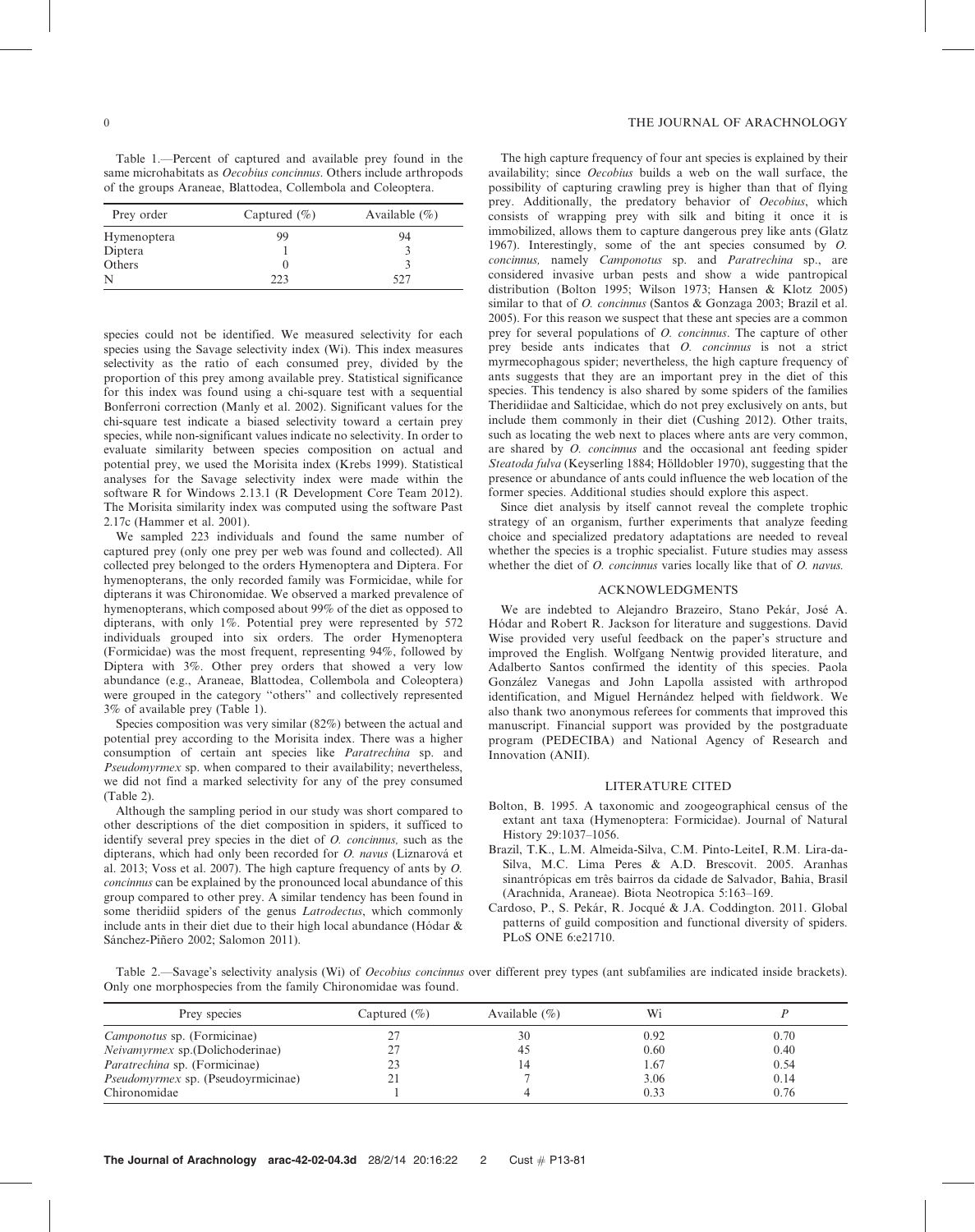Table 1.—Percent of captured and available prey found in the same microhabitats as *Oecobius concinnus*. Others include arthropods of the groups Araneae, Blattodea, Collembola and Coleoptera.

| Prey order  | Captured $(\% )$ | Available $(\% )$ |  |
|-------------|------------------|-------------------|--|
| Hymenoptera | 99               | 94                |  |
| Diptera     |                  |                   |  |
| Others      | O                |                   |  |
| N           | ววว              | 527               |  |

species could not be identified. We measured selectivity for each species using the Savage selectivity index (Wi). This index measures selectivity as the ratio of each consumed prey, divided by the proportion of this prey among available prey. Statistical significance for this index was found using a chi-square test with a sequential Bonferroni correction (Manly et al. 2002). Significant values for the chi-square test indicate a biased selectivity toward a certain prey species, while non-significant values indicate no selectivity. In order to evaluate similarity between species composition on actual and potential prey, we used the Morisita index (Krebs 1999). Statistical analyses for the Savage selectivity index were made within the software R for Windows 2.13.1 (R Development Core Team 2012). The Morisita similarity index was computed using the software Past 2.17c (Hammer et al. 2001).

We sampled 223 individuals and found the same number of captured prey (only one prey per web was found and collected). All collected prey belonged to the orders Hymenoptera and Diptera. For hymenopterans, the only recorded family was Formicidae, while for dipterans it was Chironomidae. We observed a marked prevalence of hymenopterans, which composed about 99% of the diet as opposed to dipterans, with only 1%. Potential prey were represented by 572 individuals grouped into six orders. The order Hymenoptera (Formicidae) was the most frequent, representing 94%, followed by Diptera with 3%. Other prey orders that showed a very low abundance (e.g., Araneae, Blattodea, Collembola and Coleoptera) were grouped in the category ''others'' and collectively represented 3% of available prey (Table 1).

Species composition was very similar (82%) between the actual and potential prey according to the Morisita index. There was a higher consumption of certain ant species like Paratrechina sp. and Pseudomyrmex sp. when compared to their availability; nevertheless, we did not find a marked selectivity for any of the prey consumed (Table 2).

Although the sampling period in our study was short compared to other descriptions of the diet composition in spiders, it sufficed to identify several prey species in the diet of O. concinnus, such as the dipterans, which had only been recorded for O. navus (Liznarová et al. 2013; Voss et al. 2007). The high capture frequency of ants by O. concinnus can be explained by the pronounced local abundance of this group compared to other prey. A similar tendency has been found in some theridiid spiders of the genus Latrodectus, which commonly include ants in their diet due to their high local abundance (Hódar  $\&$ Sánchez-Piñero 2002; Salomon 2011).

## 0 THE JOURNAL OF ARACHNOLOGY

The high capture frequency of four ant species is explained by their availability; since Oecobius builds a web on the wall surface, the possibility of capturing crawling prey is higher than that of flying prey. Additionally, the predatory behavior of Oecobius, which consists of wrapping prey with silk and biting it once it is immobilized, allows them to capture dangerous prey like ants (Glatz 1967). Interestingly, some of the ant species consumed by O. concinnus, namely Camponotus sp. and Paratrechina sp., are considered invasive urban pests and show a wide pantropical distribution (Bolton 1995; Wilson 1973; Hansen & Klotz 2005) similar to that of *O. concinnus* (Santos & Gonzaga 2003; Brazil et al. 2005). For this reason we suspect that these ant species are a common prey for several populations of O. concinnus. The capture of other prey beside ants indicates that O. concinnus is not a strict myrmecophagous spider; nevertheless, the high capture frequency of ants suggests that they are an important prey in the diet of this species. This tendency is also shared by some spiders of the families Theridiidae and Salticidae, which do not prey exclusively on ants, but include them commonly in their diet (Cushing 2012). Other traits, such as locating the web next to places where ants are very common, are shared by O. concinnus and the occasional ant feeding spider Steatoda fulva (Keyserling 1884; Hölldobler 1970), suggesting that the presence or abundance of ants could influence the web location of the former species. Additional studies should explore this aspect.

Since diet analysis by itself cannot reveal the complete trophic strategy of an organism, further experiments that analyze feeding choice and specialized predatory adaptations are needed to reveal whether the species is a trophic specialist. Future studies may assess whether the diet of *O. concinnus* varies locally like that of *O. navus.* 

#### ACKNOWLEDGMENTS

We are indebted to Alejandro Brazeiro, Stano Pekár, José A. Hódar and Robert R. Jackson for literature and suggestions. David Wise provided very useful feedback on the paper's structure and improved the English. Wolfgang Nentwig provided literature, and Adalberto Santos confirmed the identity of this species. Paola González Vanegas and John Lapolla assisted with arthropod identification, and Miguel Hernández helped with fieldwork. We also thank two anonymous referees for comments that improved this manuscript. Financial support was provided by the postgraduate program (PEDECIBA) and National Agency of Research and Innovation (ANII).

#### LITERATURE CITED

- Bolton, B. 1995. A taxonomic and zoogeographical census of the extant ant taxa (Hymenoptera: Formicidae). Journal of Natural History 29:1037–1056.
- Brazil, T.K., L.M. Almeida-Silva, C.M. Pinto-LeiteI, R.M. Lira-da-Silva, M.C. Lima Peres & A.D. Brescovit. 2005. Aranhas sinantrópicas em três bairros da cidade de Salvador, Bahia, Brasil (Arachnida, Araneae). Biota Neotropica 5:163–169.
- Cardoso, P., S. Pekár, R. Jocqué & J.A. Coddington. 2011. Global patterns of guild composition and functional diversity of spiders. PLoS ONE 6:e21710.

Table 2.—Savage's selectivity analysis (Wi) of Oecobius concinnus over different prey types (ant subfamilies are indicated inside brackets). Only one morphospecies from the family Chironomidae was found.

| Prey species                              | Captured $(\% )$ | Available $(\% )$ | Wi   |      |
|-------------------------------------------|------------------|-------------------|------|------|
| <i>Camponotus</i> sp. (Formicinae)        |                  | 30                | 0.92 | 0.70 |
| <i>Neivamyrmex</i> sp.(Dolichoderinae)    |                  | 45                | 0.60 | 0.40 |
| <i>Paratrechina</i> sp. (Formicinae)      |                  | 14                | 1.67 | 0.54 |
| <i>Pseudomyrmex</i> sp. (Pseudoyrmicinae) |                  |                   | 3.06 | 0.14 |
| Chironomidae                              |                  |                   | 0.33 | 0.76 |